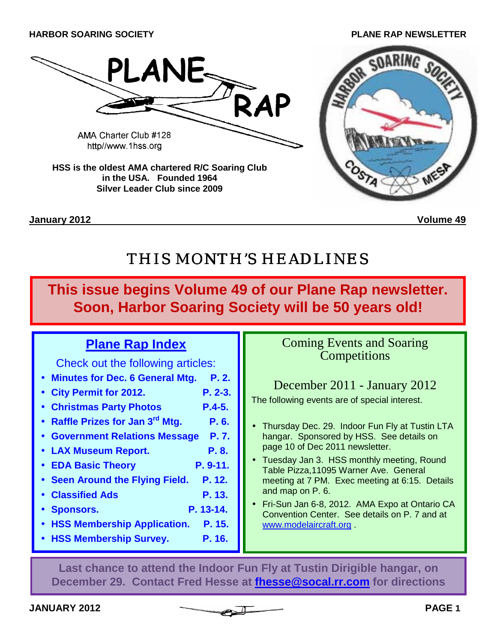**JANUARY 2012 PAGE 1**

# **HARBOR SOARING SOCIETY PLANE RAP NEWSLETTER**

THIS MONTH'S HEADLINES

**January 2012 Volume 49**

**This issue begins Volume 49 of our Plane Rap newsletter. Soon, Harbor Soaring Society will be 50 years old!**

# **Plane Rap Index**

**in the USA. Founded 1964 Silver Leader Club since 2009** 

Check out the following articles:

- **Minutes for Dec. 6 General Mtg. P. 2.**
- **City Permit for 2012. P. 2-3.**
- **Christmas Party Photos P.4-5.**
- **Raffle Prizes for Jan 3rd Mtg. P. 6.**
- **Government Relations Message P. 7.**
- **LAX Museum Report. P. 8.**
- **EDA Basic Theory P. 9-11.**
- **Seen Around the Flying Field. P. 12.**
- **Classified Ads** P. 13.
- **Sponsors. P. 13-14.**
- **HSS Membership Application. P. 15.**
- **HSS Membership Survey. P. 16.**

# Coming Events and Soaring **Competitions**

# December 2011 - January 2012

The following events are of special interest.

- Thursday Dec. 29. Indoor Fun Fly at Tustin LTA hangar. Sponsored by HSS. See details on page 10 of Dec 2011 newsletter.
- Tuesday Jan 3. HSS monthly meeting, Round Table Pizza,11095 Warner Ave. General meeting at 7 PM. Exec meeting at 6:15. Details and map on P. 6.
- Fri-Sun Jan 6-8, 2012. AMA Expo at Ontario CA Convention Center. See details on P. 7 and at www.modelaircraft.org .

**Last chance to attend the Indoor Fun Fly at Tustin Dirigible hangar, on December 29. Contact Fred Hesse at fhesse@socal.rr.com for directions** 



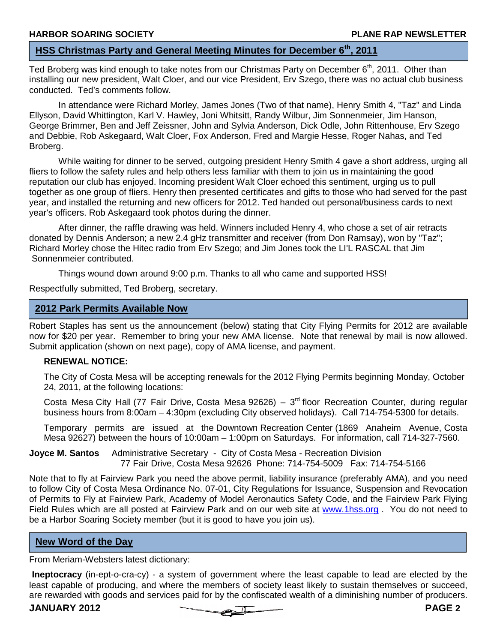# **HSS Christmas Party and General Meeting Minutes for December 6th, 2011**

Ted Broberg was kind enough to take notes from our Christmas Party on December 6<sup>th</sup>, 2011. Other than installing our new president, Walt Cloer, and our vice President, Erv Szego, there was no actual club business conducted. Ted's comments follow.

In attendance were Richard Morley, James Jones (Two of that name), Henry Smith 4, "Taz" and Linda Ellyson, David Whittington, Karl V. Hawley, Joni Whitsitt, Randy Wilbur, Jim Sonnenmeier, Jim Hanson, George Brimmer, Ben and Jeff Zeissner, John and Sylvia Anderson, Dick Odle, John Rittenhouse, Erv Szego and Debbie, Rob Askegaard, Walt Cloer, Fox Anderson, Fred and Margie Hesse, Roger Nahas, and Ted Broberg.

 While waiting for dinner to be served, outgoing president Henry Smith 4 gave a short address, urging all fliers to follow the safety rules and help others less familiar with them to join us in maintaining the good reputation our club has enjoyed. Incoming president Walt Cloer echoed this sentiment, urging us to pull together as one group of fliers. Henry then presented certificates and gifts to those who had served for the past year, and installed the returning and new officers for 2012. Ted handed out personal/business cards to next year's officers. Rob Askegaard took photos during the dinner.

 After dinner, the raffle drawing was held. Winners included Henry 4, who chose a set of air retracts donated by Dennis Anderson; a new 2.4 gHz transmitter and receiver (from Don Ramsay), won by "Taz"; Richard Morley chose the Hitec radio from Erv Szego; and Jim Jones took the LI'L RASCAL that Jim Sonnenmeier contributed.

Things wound down around 9:00 p.m. Thanks to all who came and supported HSS!

Respectfully submitted, Ted Broberg, secretary.

# **2012 Park Permits Available Now**

Robert Staples has sent us the announcement (below) stating that City Flying Permits for 2012 are available now for \$20 per year. Remember to bring your new AMA license. Note that renewal by mail is now allowed. Submit application (shown on next page), copy of AMA license, and payment.

### **RENEWAL NOTICE:**

The City of Costa Mesa will be accepting renewals for the 2012 Flying Permits beginning Monday, October 24, 2011, at the following locations:

Costa Mesa City Hall (77 Fair Drive, Costa Mesa 92626) –  $3<sup>rd</sup>$  floor Recreation Counter, during regular business hours from 8:00am – 4:30pm (excluding City observed holidays). Call 714-754-5300 for details.

Temporary permits are issued at the Downtown Recreation Center (1869 Anaheim Avenue, Costa Mesa 92627) between the hours of 10:00am – 1:00pm on Saturdays. For information, call 714-327-7560.

**Joyce M. Santos** Administrative Secretary - City of Costa Mesa - Recreation Division 77 Fair Drive, Costa Mesa 92626 Phone: 714-754-5009 Fax: 714-754-5166

Note that to fly at Fairview Park you need the above permit, liability insurance (preferably AMA), and you need to follow City of Costa Mesa Ordinance No. 07-01, City Regulations for Issuance, Suspension and Revocation of Permits to Fly at Fairview Park, Academy of Model Aeronautics Safety Code, and the Fairview Park Flying Field Rules which are all posted at Fairview Park and on our web site at www.1hss.org. You do not need to be a Harbor Soaring Society member (but it is good to have you join us).

### **New Word of the Day**

From Meriam-Websters latest dictionary:

**Ineptocracy** (in-ept-o-cra-cy) - a system of government where the least capable to lead are elected by the least capable of producing, and where the members of society least likely to sustain themselves or succeed, are rewarded with goods and services paid for by the confiscated wealth of a diminishing number of producers.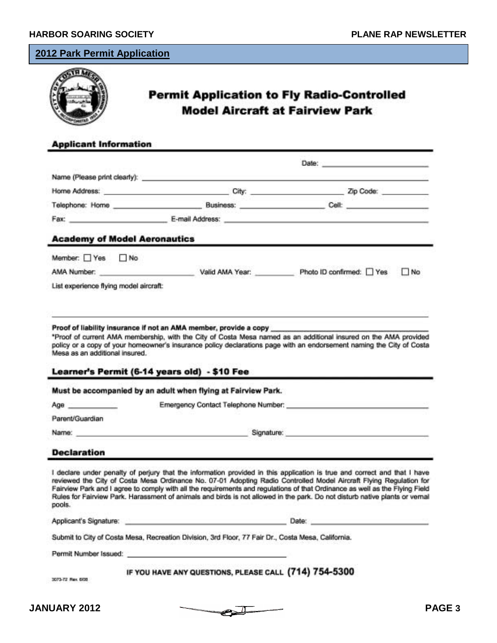# **2012 Park Permit Application**

| <b>Applicant Information</b>                                                                                  | <b>Permit Application to Fly Radio-Controlled</b><br><b>Model Aircraft at Fairview Park</b>                                                                                                                                    |                                                                                                                  |
|---------------------------------------------------------------------------------------------------------------|--------------------------------------------------------------------------------------------------------------------------------------------------------------------------------------------------------------------------------|------------------------------------------------------------------------------------------------------------------|
|                                                                                                               |                                                                                                                                                                                                                                |                                                                                                                  |
|                                                                                                               |                                                                                                                                                                                                                                | Date: https://www.com/communications/communications/communications/communications/communications/communications/ |
|                                                                                                               |                                                                                                                                                                                                                                |                                                                                                                  |
|                                                                                                               | Home Address: New York Contract of the Address of the Address of the Address of the Address of the Address of the Address of the Address of the Address of the Address of the Address of the Address of the Address of the Add | Zip Code:                                                                                                        |
| Telephone: Home experience and a series of the series of the series of the series of the series of the series | Business: Cell: Cell:                                                                                                                                                                                                          |                                                                                                                  |

#### **Academy of Model Aeronautics**

| Member: Yes No                                                                                                  |                 |                                |  |
|-----------------------------------------------------------------------------------------------------------------|-----------------|--------------------------------|--|
| AMA Number:                                                                                                     | Valid AMA Year: | Photo ID confirmed: □ Yes □ No |  |
| the contract of the contract of the contract of the contract of the contract of the contract of the contract of |                 |                                |  |

List experience flying model aircraft:

#### Proof of liability insurance if not an AMA member, provide a copy

\*Proof of current AMA membership, with the City of Costa Mesa named as an additional insured on the AMA provided policy or a copy of your homeowner's insurance policy declarations page with an endorsement naming the City of Costa Mesa as an additional insured.

#### Learner's Permit (6-14 years old) - \$10 Fee

Must be accompanied by an adult when flying at Fairview Park.

| Age             | Emergency Contact Telephone Number: |  |
|-----------------|-------------------------------------|--|
| Parent/Guardian |                                     |  |
| Name:           | Signature:                          |  |

#### **Declaration**

I declare under penalty of perjury that the information provided in this application is true and correct and that I have reviewed the City of Costa Mesa Ordinance No. 07-01 Adopting Radio Controlled Model Aircraft Flying Regulation for Fairview Park and I agree to comply with all the requirements and requistions of that Ordinance as well as the Flying Field Rules for Fairview Park. Harassment of animals and birds is not allowed in the park. Do not disturb native plants or vernal pools.

| Applicant's Signature: | Date: |
|------------------------|-------|
|                        |       |

Submit to City of Costa Mesa, Recreation Division, 3rd Floor, 77 Fair Dr., Costa Mesa, California.

Permit Number Issued:

#### IF YOU HAVE ANY QUESTIONS, PLEASE CALL (714) 754-5300

3073-72 Ray, 608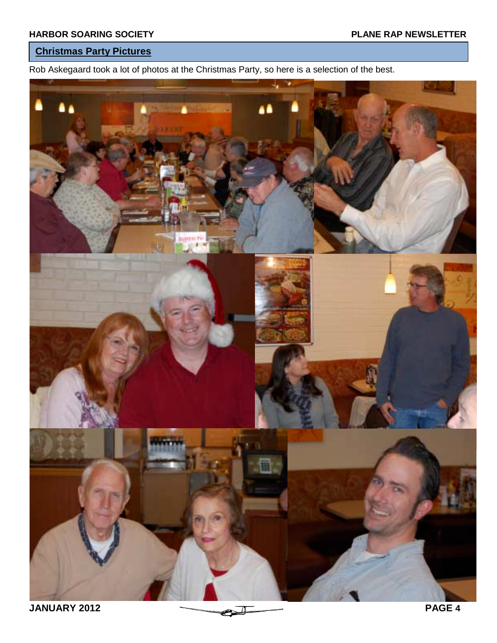# **Christmas Party Pictures**

Rob Askegaard took a lot of photos at the Christmas Party, so here is a selection of the best.

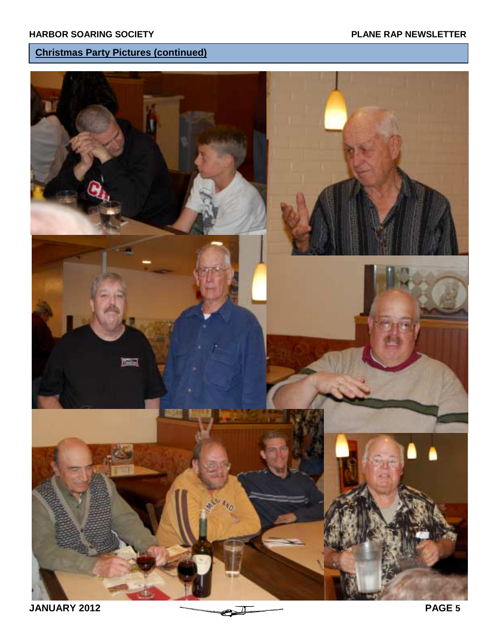# **Christmas Party Pictures (continued)**

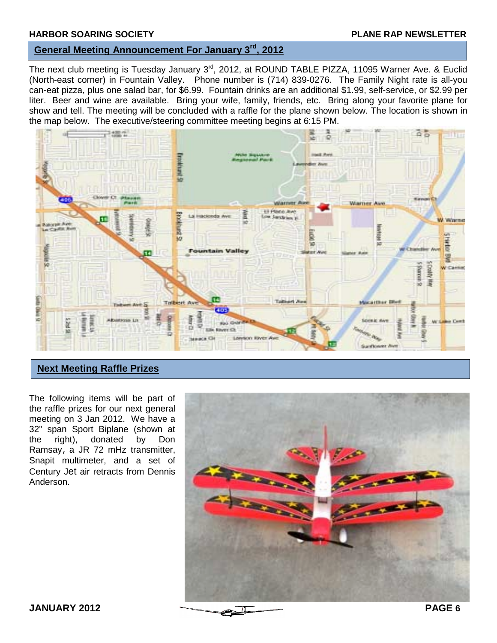# **General Meeting Announcement For January 3rd, 2012**

The next club meeting is Tuesday January 3<sup>rd</sup>, 2012, at ROUND TABLE PIZZA, 11095 Warner Ave. & Euclid (North-east corner) in Fountain Valley. Phone number is (714) 839-0276. The Family Night rate is all-you can-eat pizza, plus one salad bar, for \$6.99. Fountain drinks are an additional \$1.99, self-service, or \$2.99 per liter. Beer and wine are available. Bring your wife, family, friends, etc. Bring along your favorite plane for show and tell. The meeting will be concluded with a raffle for the plane shown below. The location is shown in the map below. The executive/steering committee meeting begins at 6:15 PM.



# **Next Meeting Raffle Prizes**

The following items will be part of the raffle prizes for our next general meeting on 3 Jan 2012. We have a 32" span Sport Biplane (shown at the right), donated by Don Ramsay, a JR 72 mHz transmitter, Snapit multimeter, and a set of Century Jet air retracts from Dennis Anderson.

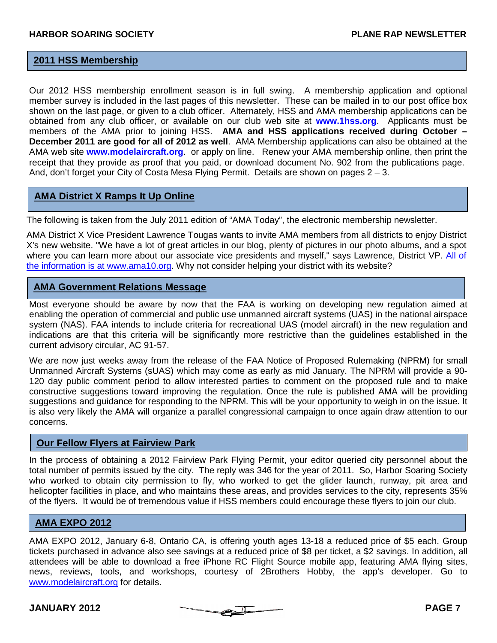# **2011 HSS Membership**

Our 2012 HSS membership enrollment season is in full swing. A membership application and optional member survey is included in the last pages of this newsletter. These can be mailed in to our post office box shown on the last page, or given to a club officer. Alternately, HSS and AMA membership applications can be obtained from any club officer, or available on our club web site at **www.1hss.org**. Applicants must be members of the AMA prior to joining HSS. **AMA and HSS applications received during October – December 2011 are good for all of 2012 as well**. AMA Membership applications can also be obtained at the AMA web site **www.modelaircraft.org**. or apply on line. Renew your AMA membership online, then print the receipt that they provide as proof that you paid, or download document No. 902 from the publications page. And, don't forget your City of Costa Mesa Flying Permit. Details are shown on pages 2 – 3.

# **AMA District X Ramps It Up Online**

The following is taken from the July 2011 edition of "AMA Today", the electronic membership newsletter.

AMA District X Vice President Lawrence Tougas wants to invite AMA members from all districts to enjoy District X's new website. "We have a lot of great articles in our blog, plenty of pictures in our photo albums, and a spot where you can learn more about our associate vice presidents and myself," says Lawrence, District VP. All of the information is at www.ama10.org. Why not consider helping your district with its website?

# **AMA Government Relations Message**

Most everyone should be aware by now that the FAA is working on developing new regulation aimed at enabling the operation of commercial and public use unmanned aircraft systems (UAS) in the national airspace system (NAS). FAA intends to include criteria for recreational UAS (model aircraft) in the new regulation and indications are that this criteria will be significantly more restrictive than the guidelines established in the current advisory circular, AC 91-57.

We are now just weeks away from the release of the FAA Notice of Proposed Rulemaking (NPRM) for small Unmanned Aircraft Systems (sUAS) which may come as early as mid January. The NPRM will provide a 90- 120 day public comment period to allow interested parties to comment on the proposed rule and to make constructive suggestions toward improving the regulation. Once the rule is published AMA will be providing suggestions and guidance for responding to the NPRM. This will be your opportunity to weigh in on the issue. It is also very likely the AMA will organize a parallel congressional campaign to once again draw attention to our concerns.

#### **Our Fellow Flyers at Fairview Park**

In the process of obtaining a 2012 Fairview Park Flying Permit, your editor queried city personnel about the total number of permits issued by the city. The reply was 346 for the year of 2011. So, Harbor Soaring Society who worked to obtain city permission to fly, who worked to get the glider launch, runway, pit area and helicopter facilities in place, and who maintains these areas, and provides services to the city, represents 35% of the flyers. It would be of tremendous value if HSS members could encourage these flyers to join our club.

# **AMA EXPO 2012**

AMA EXPO 2012, January 6-8, Ontario CA, is offering youth ages 13-18 a reduced price of \$5 each. Group tickets purchased in advance also see savings at a reduced price of \$8 per ticket, a \$2 savings. In addition, all attendees will be able to download a free iPhone RC Flight Source mobile app, featuring AMA flying sites, news, reviews, tools, and workshops, courtesy of 2Brothers Hobby, the app's developer. Go to www.modelaircraft.org for details.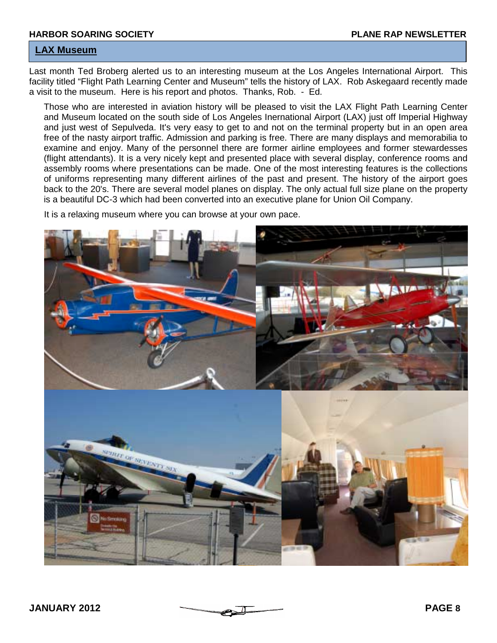# **LAX Museum**

Last month Ted Broberg alerted us to an interesting museum at the Los Angeles International Airport. This facility titled "Flight Path Learning Center and Museum" tells the history of LAX. Rob Askegaard recently made a visit to the museum. Here is his report and photos. Thanks, Rob. - Ed.

Those who are interested in aviation history will be pleased to visit the LAX Flight Path Learning Center and Museum located on the south side of Los Angeles Inernational Airport (LAX) just off Imperial Highway and just west of Sepulveda. It's very easy to get to and not on the terminal property but in an open area free of the nasty airport traffic. Admission and parking is free. There are many displays and memorabilia to examine and enjoy. Many of the personnel there are former airline employees and former stewardesses (flight attendants). It is a very nicely kept and presented place with several display, conference rooms and assembly rooms where presentations can be made. One of the most interesting features is the collections of uniforms representing many different airlines of the past and present. The history of the airport goes back to the 20's. There are several model planes on display. The only actual full size plane on the property is a beautiful DC-3 which had been converted into an executive plane for Union Oil Company.

It is a relaxing museum where you can browse at your own pace.

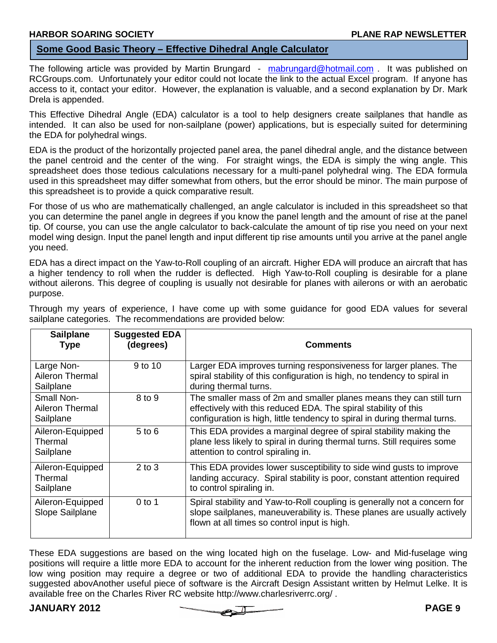# **Some Good Basic Theory – Effective Dihedral Angle Calculator**

The following article was provided by Martin Brungard - mabrungard@hotmail.com . It was published on RCGroups.com. Unfortunately your editor could not locate the link to the actual Excel program. If anyone has access to it, contact your editor. However, the explanation is valuable, and a second explanation by Dr. Mark Drela is appended.

This Effective Dihedral Angle (EDA) calculator is a tool to help designers create sailplanes that handle as intended. It can also be used for non-sailplane (power) applications, but is especially suited for determining the EDA for polyhedral wings.

EDA is the product of the horizontally projected panel area, the panel dihedral angle, and the distance between the panel centroid and the center of the wing. For straight wings, the EDA is simply the wing angle. This spreadsheet does those tedious calculations necessary for a multi-panel polyhedral wing. The EDA formula used in this spreadsheet may differ somewhat from others, but the error should be minor. The main purpose of this spreadsheet is to provide a quick comparative result.

For those of us who are mathematically challenged, an angle calculator is included in this spreadsheet so that you can determine the panel angle in degrees if you know the panel length and the amount of rise at the panel tip. Of course, you can use the angle calculator to back-calculate the amount of tip rise you need on your next model wing design. Input the panel length and input different tip rise amounts until you arrive at the panel angle you need.

EDA has a direct impact on the Yaw-to-Roll coupling of an aircraft. Higher EDA will produce an aircraft that has a higher tendency to roll when the rudder is deflected. High Yaw-to-Roll coupling is desirable for a plane without ailerons. This degree of coupling is usually not desirable for planes with ailerons or with an aerobatic purpose.

| <b>Sailplane</b><br><b>Type</b>                   | <b>Suggested EDA</b><br>(degrees) | <b>Comments</b>                                                                                                                                                                                                     |
|---------------------------------------------------|-----------------------------------|---------------------------------------------------------------------------------------------------------------------------------------------------------------------------------------------------------------------|
| Large Non-<br><b>Aileron Thermal</b><br>Sailplane | 9 to 10                           | Larger EDA improves turning responsiveness for larger planes. The<br>spiral stability of this configuration is high, no tendency to spiral in<br>during thermal turns.                                              |
| Small Non-<br>Aileron Thermal<br>Sailplane        | 8 to 9                            | The smaller mass of 2m and smaller planes means they can still turn<br>effectively with this reduced EDA. The spiral stability of this<br>configuration is high, little tendency to spiral in during thermal turns. |
| Aileron-Equipped<br>Thermal<br>Sailplane          | $5$ to $6$                        | This EDA provides a marginal degree of spiral stability making the<br>plane less likely to spiral in during thermal turns. Still requires some<br>attention to control spiraling in.                                |
| Aileron-Equipped<br>Thermal<br>Sailplane          | $2$ to $3$                        | This EDA provides lower susceptibility to side wind gusts to improve<br>landing accuracy. Spiral stability is poor, constant attention required<br>to control spiraling in.                                         |
| Aileron-Equipped<br>Slope Sailplane               | $0$ to 1                          | Spiral stability and Yaw-to-Roll coupling is generally not a concern for<br>slope sailplanes, maneuverability is. These planes are usually actively<br>flown at all times so control input is high.                 |

Through my years of experience, I have come up with some guidance for good EDA values for several sailplane categories. The recommendations are provided below:

These EDA suggestions are based on the wing located high on the fuselage. Low- and Mid-fuselage wing positions will require a little more EDA to account for the inherent reduction from the lower wing position. The low wing position may require a degree or two of additional EDA to provide the handling characteristics suggested abovAnother useful piece of software is the Aircraft Design Assistant written by Helmut Lelke. It is available free on the Charles River RC website http://www.charlesriverrc.org/ .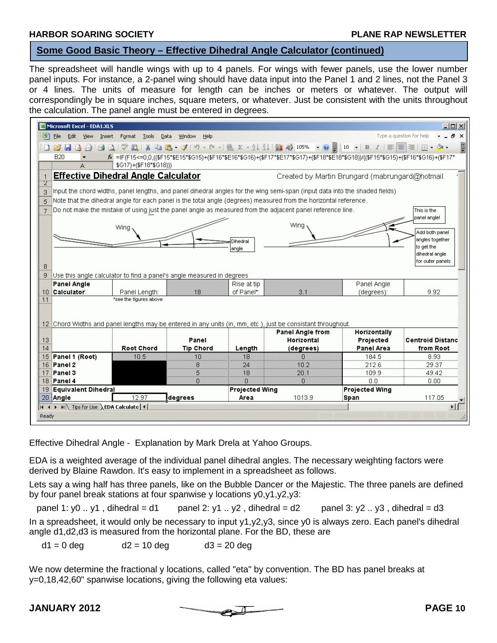#### **HARBOR SOARING SOCIETY PLANE RAP NEWSLETTER**

I

#### **Some Good Basic Theory – Effective Dihedral Angle Calculator (continued)**

The spreadsheet will handle wings with up to 4 panels. For wings with fewer panels, use the lower number panel inputs. For instance, a 2-panel wing should have data input into the Panel 1 and 2 lines, not the Panel 3 or 4 lines. The units of measure for length can be inches or meters or whatever. The output will correspondingly be in square inches, square meters, or whatever. Just be consistent with the units throughout the calculation. The panel angle must be entered in degrees.

|                                | Microsoft Excel - EDA1.XLS             |                                                                                                                             |                  |                           |                                                                                                                                       |                       | $ \Box$ $\times$                     |
|--------------------------------|----------------------------------------|-----------------------------------------------------------------------------------------------------------------------------|------------------|---------------------------|---------------------------------------------------------------------------------------------------------------------------------------|-----------------------|--------------------------------------|
| 国                              | File<br>Edit View                      | Data<br>Insert<br>Format<br>Tools                                                                                           | Window<br>Help   |                           |                                                                                                                                       |                       | Type a question for help<br>$ B$ $X$ |
|                                | BHA                                    | $\alpha$                                                                                                                    |                  |                           |                                                                                                                                       |                       | F                                    |
|                                | <b>B20</b>                             |                                                                                                                             |                  |                           | £ =IF(F15<=0,0,((\$F15*\$E15*\$G15)+(\$F16*\$E16*\$G16)+(\$F17*\$E17*\$G17)+(\$F18*\$E18*\$G18))/((\$F15*\$G15)+(\$F16*\$G16)+(\$F17* |                       |                                      |
|                                |                                        | \$G17)+(\$F18*\$G18)))                                                                                                      |                  |                           |                                                                                                                                       |                       |                                      |
| $\mathbf{1}$<br>$\overline{2}$ |                                        | <b>Effective Dihedral Angle Calculator</b>                                                                                  |                  |                           | Created by Martin Brungard (mabrungard@hotmail.                                                                                       |                       |                                      |
| 3                              |                                        | Input the chord widths, panel lengths, and panel dihedral angles for the wing semi-span (input data into the shaded fields) |                  |                           |                                                                                                                                       |                       |                                      |
| 5                              |                                        | Note that the dihedral angle for each panel is the total angle (degrees) measured from the horizontal reference.            |                  |                           |                                                                                                                                       |                       |                                      |
| $\overline{7}$                 |                                        | Do not make the mistake of using just the panel angle as measured from the adjacent panel reference line.                   |                  |                           |                                                                                                                                       |                       | This is the                          |
|                                |                                        |                                                                                                                             |                  |                           |                                                                                                                                       |                       | panel angle!                         |
|                                |                                        | Wing                                                                                                                        |                  |                           | Wing                                                                                                                                  |                       |                                      |
|                                |                                        |                                                                                                                             |                  |                           |                                                                                                                                       |                       | Add both panel                       |
|                                |                                        |                                                                                                                             |                  | Dihedral                  |                                                                                                                                       |                       | angles together<br>to get the        |
|                                |                                        |                                                                                                                             |                  | angle                     |                                                                                                                                       |                       | dihedral angle                       |
|                                |                                        |                                                                                                                             |                  |                           |                                                                                                                                       |                       | for outer panels                     |
| 8                              |                                        |                                                                                                                             |                  |                           |                                                                                                                                       |                       |                                      |
| 9                              |                                        | Use this angle calculator to find a panel's angle measured in degrees                                                       |                  |                           |                                                                                                                                       |                       |                                      |
|                                | Panel Angle                            |                                                                                                                             | 18               | Rise at tip<br>of Panel*: | 3.1                                                                                                                                   | Panel Angle           | 9.92                                 |
| 10<br>11                       | Calculator:                            | Panel Length:<br>*see the figures above                                                                                     |                  |                           |                                                                                                                                       | (degrees):            |                                      |
|                                |                                        | 12 Chord Widths and panel lengths may be entered in any units (in, mm, etc.), just be consistant throughout.                |                  |                           |                                                                                                                                       |                       |                                      |
|                                |                                        |                                                                                                                             |                  |                           | <b>Panel Angle from</b>                                                                                                               | Horizontally          |                                      |
| 13                             |                                        |                                                                                                                             | Panel            |                           | Horizontal                                                                                                                            | Projected             | <b>Centroid Distanc</b>              |
| 14                             |                                        | <b>Root Chord</b>                                                                                                           | <b>Tip Chord</b> | Length                    | (degrees)                                                                                                                             | <b>Panel Area</b>     | from Root                            |
| 15                             | Panel 1 (Root)                         | 10.5                                                                                                                        | 10               | 18                        | $\Omega$                                                                                                                              | 184.5                 | 8.93                                 |
|                                | 16 <b>Panel 2</b><br>17 Panel 3        |                                                                                                                             | 8<br>5           | 24<br>18                  | 10.2<br>20.1                                                                                                                          | 212.6<br>109.9        | 29.37<br>49.42                       |
|                                | 18 <b>Panel 4</b>                      |                                                                                                                             | n                | $\Omega$                  | $\Box$                                                                                                                                | 0.0                   | 0.00                                 |
|                                | 19 Equivalent Dihedral                 |                                                                                                                             |                  | <b>Projected Wing</b>     |                                                                                                                                       | <b>Projected Wing</b> |                                      |
|                                | 20 Angle                               | 12.97                                                                                                                       | <b>I</b> degrees | Area                      | 1013.9                                                                                                                                | Span                  | 117.05                               |
|                                | H + ▶ H Tips for Use EDA Calculate   + |                                                                                                                             |                  |                           |                                                                                                                                       |                       | $\vert$                              |
| Ready                          |                                        |                                                                                                                             |                  |                           |                                                                                                                                       |                       |                                      |
|                                |                                        |                                                                                                                             |                  |                           |                                                                                                                                       |                       |                                      |

Effective Dihedral Angle - Explanation by Mark Drela at Yahoo Groups.

EDA is a weighted average of the individual panel dihedral angles. The necessary weighting factors were derived by Blaine Rawdon. It's easy to implement in a spreadsheet as follows.

Lets say a wing half has three panels, like on the Bubble Dancer or the Majestic. The three panels are defined by four panel break stations at four spanwise y locations y0,y1,y2,y3:

panel 1: y0 .. y1, dihedral = d1 panel 2: y1 .. y2, dihedral = d2 panel 3: y2 .. y3, dihedral = d3 In a spreadsheet, it would only be necessary to input y1,y2,y3, since y0 is always zero. Each panel's dihedral angle d1,d2,d3 is measured from the horizontal plane. For the BD, these are

 $d1 = 0$  deg  $d2 = 10$  deg  $d3 = 20$  deg

We now determine the fractional y locations, called "eta" by convention. The BD has panel breaks at y=0,18,42,60" spanwise locations, giving the following eta values: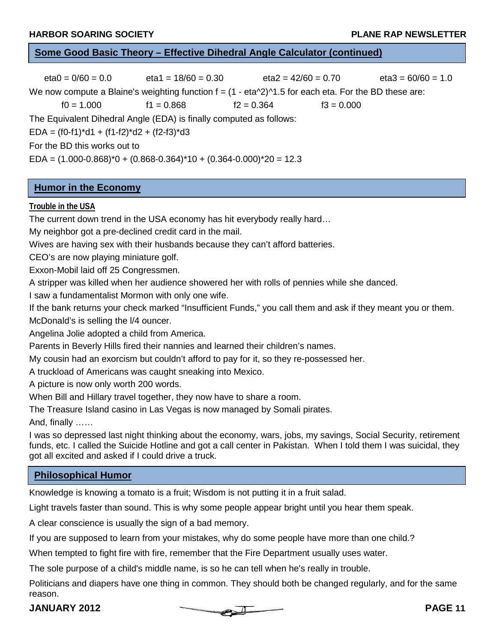# **Some Good Basic Theory – Effective Dihedral Angle Calculator (continued)**

 $eta0 = 0/60 = 0.0$  eta1 = 18/60 = 0.30 eta2 = 42/60 = 0.70 eta3 = 60/60 = 1.0 We now compute a Blaine's weighting function  $f = (1 - \frac{eta}{2})^1$ .5 for each eta. For the BD these are:  $f0 = 1.000$   $f1 = 0.868$   $f2 = 0.364$   $f3 = 0.000$ The Equivalent Dihedral Angle (EDA) is finally computed as follows: EDA =  $(f0-f1)*d1 + (f1-f2)*d2 + (f2-f3)*d3$ For the BD this works out to  $EDA = (1.000 - 0.868)^*0 + (0.868 - 0.364)^*10 + (0.364 - 0.000)^*20 = 12.3$ 

# **Humor in the Economy**

#### **Trouble in the USA**

The current down trend in the USA economy has hit everybody really hard…

My neighbor got a pre-declined credit card in the mail.

Wives are having sex with their husbands because they can't afford batteries.

CEO's are now playing miniature golf.

Exxon-Mobil laid off 25 Congressmen.

A stripper was killed when her audience showered her with rolls of pennies while she danced.

I saw a fundamentalist Mormon with only one wife.

If the bank returns your check marked "Insufficient Funds," you call them and ask if they meant you or them.

McDonald's is selling the l/4 ouncer.

Angelina Jolie adopted a child from America.

Parents in Beverly Hills fired their nannies and learned their children's names.

My cousin had an exorcism but couldn't afford to pay for it, so they re-possessed her.

A truckload of Americans was caught sneaking into Mexico.

A picture is now only worth 200 words.

When Bill and Hillary travel together, they now have to share a room.

The Treasure Island casino in Las Vegas is now managed by Somali pirates.

And, finally ……

I was so depressed last night thinking about the economy, wars, jobs, my savings, Social Security, retirement funds, etc. I called the Suicide Hotline and got a call center in Pakistan. When I told them I was suicidal, they got all excited and asked if I could drive a truck.

# **Philosophical Humor**

Knowledge is knowing a tomato is a fruit; Wisdom is not putting it in a fruit salad.

Light travels faster than sound. This is why some people appear bright until you hear them speak.

A clear conscience is usually the sign of a bad memory.

If you are supposed to learn from your mistakes, why do some people have more than one child.?

When tempted to fight fire with fire, remember that the Fire Department usually uses water.

The sole purpose of a child's middle name, is so he can tell when he's really in trouble.

Politicians and diapers have one thing in common. They should both be changed regularly, and for the same reason.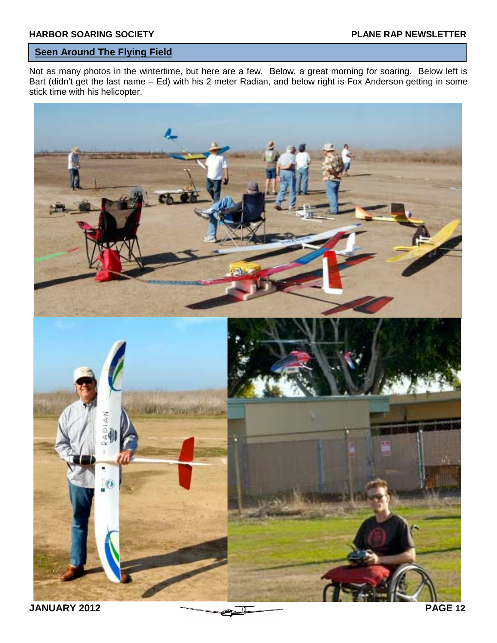# **Seen Around The Flying Field**

Not as many photos in the wintertime, but here are a few. Below, a great morning for soaring. Below left is Bart (didn't get the last name – Ed) with his 2 meter Radian, and below right is Fox Anderson getting in some stick time with his helicopter.

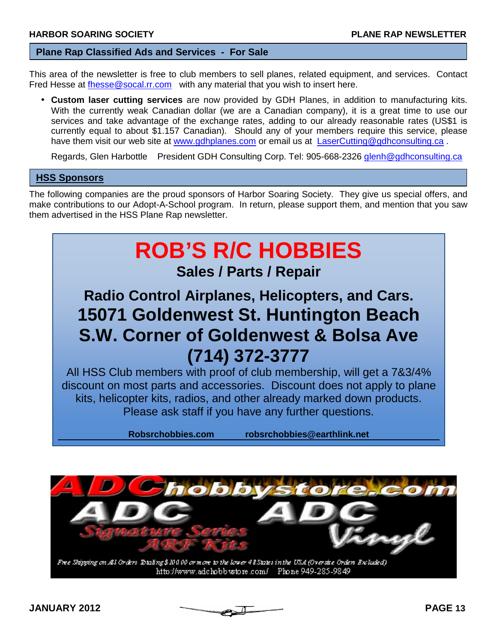#### **Plane Rap Classified Ads and Services - For Sale**

This area of the newsletter is free to club members to sell planes, related equipment, and services. Contact Fred Hesse at fhesse@socal.rr.com with any material that you wish to insert here.

• **Custom laser cutting services** are now provided by GDH Planes, in addition to manufacturing kits. With the currently weak Canadian dollar (we are a Canadian company), it is a great time to use our services and take advantage of the exchange rates, adding to our already reasonable rates (US\$1 is currently equal to about \$1.157 Canadian). Should any of your members require this service, please have them visit our web site at www.gdhplanes.com or email us at LaserCutting@gdhconsulting.ca.

Regards, Glen Harbottle President GDH Consulting Corp. Tel: 905-668-2326 glenh@gdhconsulting.ca

#### **HSS Sponsors**

The following companies are the proud sponsors of Harbor Soaring Society. They give us special offers, and make contributions to our Adopt-A-School program. In return, please support them, and mention that you saw them advertised in the HSS Plane Rap newsletter.



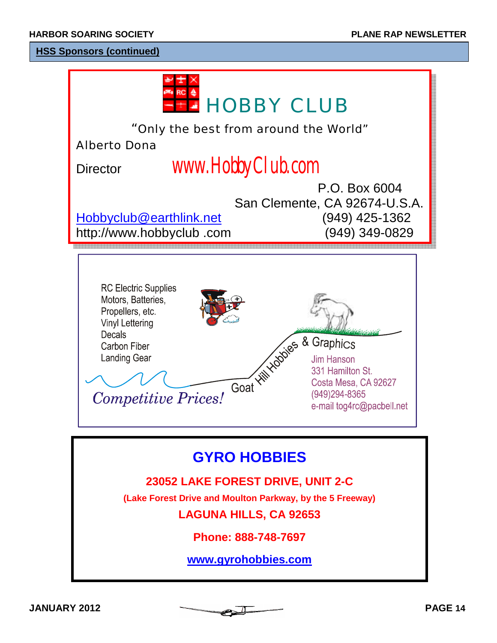# **HSS Sponsors (continued)**

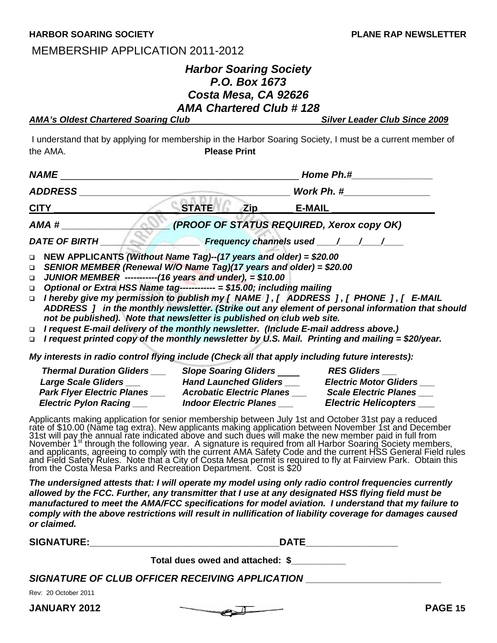#### **HARBOR SOARING SOCIETY PLANE RAP NEWSLETTER**

# MEMBERSHIP APPLICATION 2011-2012

# *Harbor Soaring Society P.O. Box 1673 Costa Mesa, CA 92626 AMA Chartered Club # 128*

| <b>AMA's Oldest Chartered Soaring Club</b> | <b>Silver Leader Club Since 2009</b> |
|--------------------------------------------|--------------------------------------|
|--------------------------------------------|--------------------------------------|

 I understand that by applying for membership in the Harbor Soaring Society, I must be a current member of the AMA. **Please Print** 

| NAME                                                                                                                                                                                                                                                                                                                                                                                                                                                                                                                                                                            |              |            | <b>Home Ph.#</b>                          |  |
|---------------------------------------------------------------------------------------------------------------------------------------------------------------------------------------------------------------------------------------------------------------------------------------------------------------------------------------------------------------------------------------------------------------------------------------------------------------------------------------------------------------------------------------------------------------------------------|--------------|------------|-------------------------------------------|--|
| <b>ADDRESS</b>                                                                                                                                                                                                                                                                                                                                                                                                                                                                                                                                                                  | Work Ph. #   |            |                                           |  |
| <u>CITY</u>                                                                                                                                                                                                                                                                                                                                                                                                                                                                                                                                                                     | <b>STATE</b> | <b>Zip</b> | <b>E-MAIL</b>                             |  |
| AMA #                                                                                                                                                                                                                                                                                                                                                                                                                                                                                                                                                                           |              |            | (PROOF OF STATUS REQUIRED, Xerox copy OK) |  |
| <b>DATE OF BIRTH</b>                                                                                                                                                                                                                                                                                                                                                                                                                                                                                                                                                            |              |            | <b>Frequency channels used / / / /</b>    |  |
| □ NEW APPLICANTS (Without Name Tag)--(17 years and older) = \$20.00<br>□ SENIOR MEMBER (Renewal W/O Name Tag)(17 years and older) = \$20.00<br>JUNIOR MEMBER -----------(16 years and under), $= $10.00$<br>$\Box$<br>Optional or Extra HSS Name tag------------ = \$15.00; including mailing<br>$\Box$<br>□ I hereby give my permission to publish my [ NAME ], [ ADDRESS ], [ PHONE ], [ E-MAIL<br>ADDRESS ] in the monthly newsletter. (Strike out any element of personal information that should<br>not be published). Note that newsletter is published on club web site. |              |            |                                           |  |

! *I request E-mail delivery of the monthly newsletter. (Include E-mail address above.)*

! *I request printed copy of the monthly newsletter by U.S. Mail. Printing and mailing = \$20/year.*

*My interests in radio control flying include (Check all that apply including future interests):* 

| <b>Thermal Duration Gliders</b>   | <b>Slope Soaring Gliders</b>     | <b>RES Gliders</b>            |
|-----------------------------------|----------------------------------|-------------------------------|
| <b>Large Scale Gliders</b>        | <b>Hand Launched Gliders</b>     | <b>Electric Motor Gliders</b> |
| <b>Park Flyer Electric Planes</b> | <b>Acrobatic Electric Planes</b> | <b>Scale Electric Planes</b>  |
| <b>Electric Pylon Racing</b>      | <b>Indoor Electric Planes</b>    | <b>Electric Helicopters</b>   |

Applicants making application for senior membership between July 1st and October 31st pay a reduced rate of \$10.00 (Name tag extra). New applicants making application between November 1st and December 31st will pay the annual rate indicated above and such dues will make the new member paid in full from November 1<sup>st</sup> through the following year. A signature is required from all Harbor Soaring Society members, and applicants, agreeing to comply with the current AMA Safety Code and the current HSS General Field rules and Field Safety Rules. Note that a City of Costa Mesa permit is required to fly at Fairview Park. Obtain this from the Costa Mesa Parks and Recreation Department. Cost is \$20

*The undersigned attests that: I will operate my model using only radio control frequencies currently allowed by the FCC. Further, any transmitter that I use at any designated HSS flying field must be manufactured to meet the AMA/FCC specifications for model aviation. I understand that my failure to comply with the above restrictions will result in nullification of liability coverage for damages caused or claimed.*

**SIGNATURE:\_\_\_\_\_\_\_\_\_\_\_\_\_\_\_\_\_\_\_\_\_\_\_\_\_\_\_\_\_\_\_\_\_\_\_DATE\_\_\_\_\_\_\_\_\_\_\_\_\_\_\_\_\_** 

|                      | Total dues owed and attached: \$                       |  |
|----------------------|--------------------------------------------------------|--|
|                      | <b>SIGNATURE OF CLUB OFFICER RECEIVING APPLICATION</b> |  |
| Rev: 20 October 2011 |                                                        |  |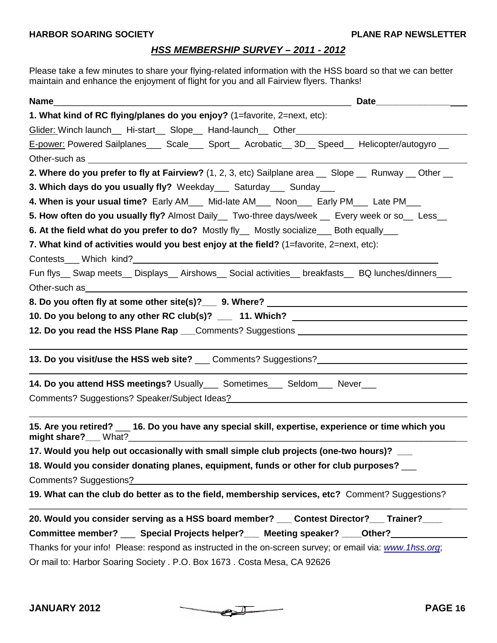# *HSS MEMBERSHIP SURVEY – 2011 - 2012*

Please take a few minutes to share your flying-related information with the HSS board so that we can better maintain and enhance the enjoyment of flight for you and all Fairview flyers. Thanks!

| Name                                                                                                                                                                                                                                |
|-------------------------------------------------------------------------------------------------------------------------------------------------------------------------------------------------------------------------------------|
| 1. What kind of RC flying/planes do you enjoy? (1=favorite, 2=next, etc):                                                                                                                                                           |
| Glider: Winch launch__ Hi-start__ Slope__ Hand-launch__ Other___________________                                                                                                                                                    |
| E-power: Powered Sailplanes____ Scale____ Sport___ Acrobatic__ 3D__ Speed___ Helicopter/autogyro __                                                                                                                                 |
|                                                                                                                                                                                                                                     |
| 2. Where do you prefer to fly at Fairview? (1, 2, 3, etc) Sailplane area __ Slope __ Runway __ Other __                                                                                                                             |
| 3. Which days do you usually fly? Weekday___ Saturday___ Sunday___                                                                                                                                                                  |
| 4. When is your usual time? Early AM___ Mid-late AM___ Noon___ Early PM___ Late PM___                                                                                                                                               |
| 5. How often do you usually fly? Almost Daily__ Two-three days/week __ Every week or so__ Less__                                                                                                                                    |
| 6. At the field what do you prefer to do? Mostly fly__ Mostly socialize___ Both equally___                                                                                                                                          |
| 7. What kind of activities would you best enjoy at the field? (1=favorite, 2=next, etc):                                                                                                                                            |
|                                                                                                                                                                                                                                     |
| Fun flys__ Swap meets__ Displays__ Airshows__ Social activities__ breakfasts__ BQ lunches/dinners___                                                                                                                                |
| Other-such as <b>Example 2018</b> 2019 12:00:00 and 2019 12:00:00 and 2019 12:00:00 and 2019 12:00:00 and 2019 12:00:00 and 2019 12:00:00 and 2019 12:00:00 and 2019 12:00:00 and 2019 12:00:00 and 2019 12:00:00 and 2019 12:00:00 |
| 8. Do you often fly at some other site(s)? 9. Where?                                                                                                                                                                                |
| 10. Do you belong to any other RC club(s)? __ 11. Which? _______________________                                                                                                                                                    |
| 12. Do you read the HSS Plane Rap ___Comments? Suggestions _____________________                                                                                                                                                    |
|                                                                                                                                                                                                                                     |
| 13. Do you visit/use the HSS web site? ___ Comments? Suggestions? _______________                                                                                                                                                   |
| <b>14. Do you attend HSS meetings?</b> Usually____ Sometimes____ Seldom____ Never___                                                                                                                                                |
| Comments? Suggestions? Speaker/Subject Ideas? National Comments? Suggestions? Speaker/Subject Ideas?                                                                                                                                |
|                                                                                                                                                                                                                                     |
| 15. Are you retired? __ 16. Do you have any special skill, expertise, experience or time which you                                                                                                                                  |
| 17. Would you help out occasionally with small simple club projects (one-two hours)? ___                                                                                                                                            |
| 18. Would you consider donating planes, equipment, funds or other for club purposes? __                                                                                                                                             |
| Comments? Suggestions?                                                                                                                                                                                                              |
| 19. What can the club do better as to the field, membership services, etc? Comment? Suggestions?                                                                                                                                    |
| 20. Would you consider serving as a HSS board member? Contest Director? Trainer?                                                                                                                                                    |
| Committee member? ____ Special Projects helper?____ Meeting speaker? ____Other?_________                                                                                                                                            |
| Thanks for your info! Please: respond as instructed in the on-screen survey; or email via: www.1hss.org;                                                                                                                            |
| Or mail to: Harbor Soaring Society . P.O. Box 1673 . Costa Mesa, CA 92626                                                                                                                                                           |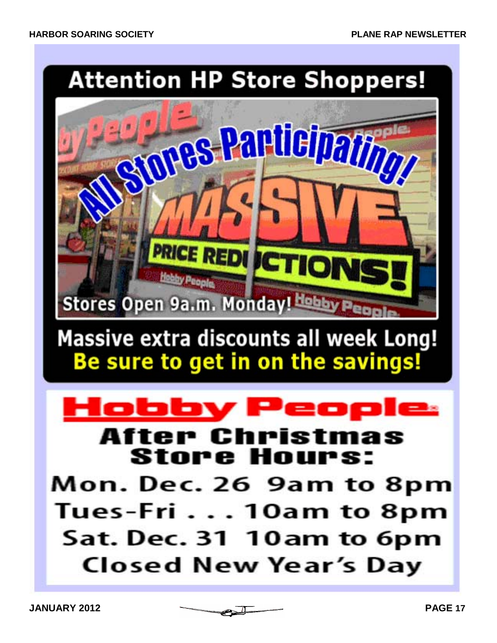